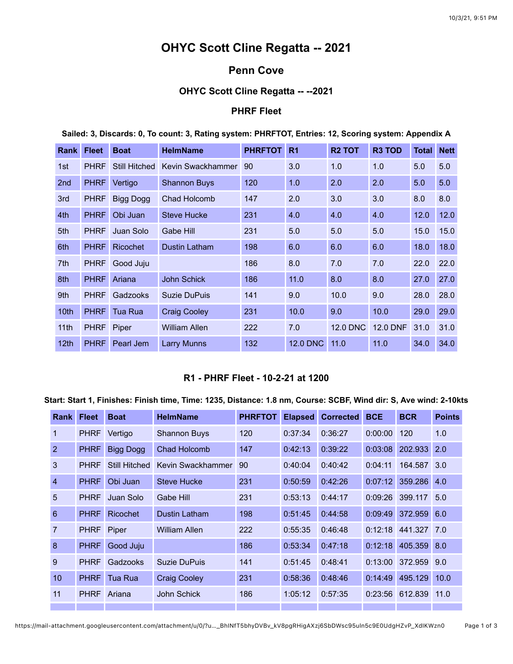# **OHYC Scott Cline Regatta -- 2021**

# **Penn Cove**

# **OHYC Scott Cline Regatta -- --2021**

# **PHRF Fleet**

#### **Sailed: 3, Discards: 0, To count: 3, Rating system: PHRFTOT, Entries: 12, Scoring system: Appendix A**

| <b>Rank</b>      | <b>Fleet</b> | <b>Boat</b>          | <b>HelmName</b>     | <b>PHRFTOT</b> | R <sub>1</sub>  | <b>R2 TOT</b>   | <b>R3 TOD</b>   | <b>Total</b> | <b>Nett</b> |
|------------------|--------------|----------------------|---------------------|----------------|-----------------|-----------------|-----------------|--------------|-------------|
| 1st              | <b>PHRF</b>  | <b>Still Hitched</b> | Kevin Swackhammer   | 90             | 3.0             | 1.0             | 1.0             | 5.0          | 5.0         |
| 2 <sub>nd</sub>  | <b>PHRF</b>  | Vertigo              | <b>Shannon Buys</b> | 120            | 1.0             | 2.0             | 2.0             | 5.0          | 5.0         |
| 3rd              | <b>PHRF</b>  | Bigg Dogg            | Chad Holcomb        | 147            | 2.0             | 3.0             | 3.0             | 8.0          | 8.0         |
| 4th              | <b>PHRF</b>  | Obi Juan             | <b>Steve Hucke</b>  | 231            | 4.0             | 4.0             | 4.0             | 12.0         | 12.0        |
| 5th              | <b>PHRF</b>  | Juan Solo            | Gabe Hill           | 231            | 5.0             | 5.0             | 5.0             | 15.0         | 15.0        |
| 6th              | <b>PHRF</b>  | <b>Ricochet</b>      | Dustin Latham       | 198            | 6.0             | 6.0             | 6.0             | 18.0         | 18.0        |
| 7th              | <b>PHRF</b>  | Good Juju            |                     | 186            | 8.0             | 7.0             | 7.0             | 22.0         | 22.0        |
| 8th              | <b>PHRF</b>  | Ariana               | <b>John Schick</b>  | 186            | 11.0            | 8.0             | 8.0             | 27.0         | 27.0        |
| 9th              | <b>PHRF</b>  | Gadzooks             | <b>Suzie DuPuis</b> | 141            | 9.0             | 10.0            | 9.0             | 28.0         | 28.0        |
| 10 <sub>th</sub> | <b>PHRF</b>  | Tua Rua              | <b>Craig Cooley</b> | 231            | 10.0            | 9.0             | 10.0            | 29.0         | 29.0        |
| 11 <sub>th</sub> | <b>PHRF</b>  | Piper                | William Allen       | 222            | 7.0             | <b>12.0 DNC</b> | <b>12.0 DNF</b> | 31.0         | 31.0        |
| 12 <sub>th</sub> | <b>PHRF</b>  | Pearl Jem            | Larry Munns         | 132            | <b>12.0 DNC</b> | 11.0            | 11.0            | 34.0         | 34.0        |

#### **R1 - PHRF Fleet - 10-2-21 at 1200**

### **Start: Start 1, Finishes: Finish time, Time: 1235, Distance: 1.8 nm, Course: SCBF, Wind dir: S, Ave wind: 2-10kts**

| <b>Rank</b>    | <b>Fleet</b> | <b>Boat</b>          | <b>HelmName</b>      | <b>PHRFTOT</b> | <b>Elapsed</b> | <b>Corrected</b> | <b>BCE</b> | <b>BCR</b>  | <b>Points</b> |
|----------------|--------------|----------------------|----------------------|----------------|----------------|------------------|------------|-------------|---------------|
| 1              | <b>PHRF</b>  | Vertigo              | <b>Shannon Buys</b>  | 120            | 0:37:34        | 0:36:27          | 0:00:00    | 120         | 1.0           |
| 2              | <b>PHRF</b>  | Bigg Dogg            | Chad Holcomb         | 147            | 0:42:13        | 0:39:22          | 0:03:08    | 202.933     | 2.0           |
| 3              | <b>PHRF</b>  | <b>Still Hitched</b> | Kevin Swackhammer    | 90             | 0:40:04        | 0:40:42          | 0:04:11    | 164.587     | 3.0           |
| $\overline{4}$ | <b>PHRF</b>  | Obi Juan             | <b>Steve Hucke</b>   | 231            | 0:50:59        | 0:42:26          | 0:07:12    | 359.286     | 4.0           |
| 5              | <b>PHRF</b>  | Juan Solo            | Gabe Hill            | 231            | 0:53:13        | 0:44:17          | 0:09:26    | 399.117     | 5.0           |
| $6\phantom{1}$ | <b>PHRF</b>  | <b>Ricochet</b>      | Dustin Latham        | 198            | 0:51:45        | 0:44:58          | 0:09:49    | 372.959     | 6.0           |
| 7              | <b>PHRF</b>  | Piper                | <b>William Allen</b> | 222            | 0:55:35        | 0:46:48          | 0:12:18    | 441.327 7.0 |               |
| 8              | <b>PHRF</b>  | Good Juju            |                      | 186            | 0:53:34        | 0:47:18          | 0:12:18    | 405.359     | 8.0           |
| 9              | <b>PHRF</b>  | Gadzooks             | Suzie DuPuis         | 141            | 0:51:45        | 0:48:41          | 0:13:00    | 372.959     | 9.0           |
| 10             | <b>PHRF</b>  | Tua Rua              | <b>Craig Cooley</b>  | 231            | 0:58:36        | 0:48:46          | 0:14:49    | 495.129     | 10.0          |
| 11             | <b>PHRF</b>  | Ariana               | John Schick          | 186            | 1:05:12        | 0:57:35          | 0:23:56    | 612.839     | 11.0          |
|                |              |                      |                      |                |                |                  |            |             |               |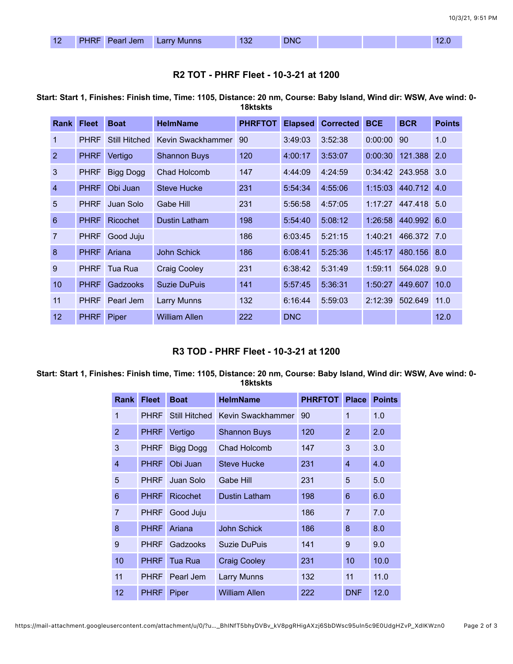## **R2 TOT - PHRF Fleet - 10-3-21 at 1200**

**Start: Start 1, Finishes: Finish time, Time: 1105, Distance: 20 nm, Course: Baby Island, Wind dir: WSW, Ave wind: 0- 18ktskts**

| <b>Rank</b>    | <b>Fleet</b> | <b>Boat</b>     | <b>HelmName</b>      | <b>PHRFTOT</b> | <b>Elapsed</b> | <b>Corrected</b> | <b>BCE</b> | <b>BCR</b>  | <b>Points</b> |
|----------------|--------------|-----------------|----------------------|----------------|----------------|------------------|------------|-------------|---------------|
| 1              | <b>PHRF</b>  | Still Hitched   | Kevin Swackhammer    | 90             | 3:49:03        | 3:52:38          | 0:00:00    | 90          | 1.0           |
| 2              | <b>PHRF</b>  | Vertigo         | <b>Shannon Buys</b>  | 120            | 4:00:17        | 3:53:07          | 0:00:30    | 121.388 2.0 |               |
| 3              | <b>PHRF</b>  | Bigg Dogg       | Chad Holcomb         | 147            | 4:44:09        | 4:24:59          | 0:34:42    | 243.958 3.0 |               |
| $\overline{4}$ | <b>PHRF</b>  | Obi Juan        | <b>Steve Hucke</b>   | 231            | 5:54:34        | 4:55:06          | 1:15:03    | 440.712 4.0 |               |
| 5              | <b>PHRF</b>  | Juan Solo       | Gabe Hill            | 231            | 5:56:58        | 4:57:05          | 1:17:27    | 447.418 5.0 |               |
| 6              | <b>PHRF</b>  | <b>Ricochet</b> | Dustin Latham        | 198            | 5:54:40        | 5:08:12          | 1:26:58    | 440.992 6.0 |               |
| 7              | <b>PHRF</b>  | Good Juju       |                      | 186            | 6:03:45        | 5:21:15          | 1:40:21    | 466.372 7.0 |               |
| 8              | <b>PHRF</b>  | Ariana          | John Schick          | 186            | 6:08:41        | 5:25:36          | 1:45:17    | 480.156 8.0 |               |
| 9              | <b>PHRF</b>  | Tua Rua         | <b>Craig Cooley</b>  | 231            | 6:38:42        | 5:31:49          | 1:59:11    | 564.028     | 9.0           |
| 10             | <b>PHRF</b>  | Gadzooks        | Suzie DuPuis         | 141            | 5:57:45        | 5:36:31          | 1:50:27    | 449.607     | 10.0          |
| 11             | <b>PHRF</b>  | Pearl Jem       | Larry Munns          | 132            | 6:16:44        | 5:59:03          | 2:12:39    | 502.649     | 11.0          |
| 12             | <b>PHRF</b>  | Piper           | <b>William Allen</b> | 222            | <b>DNC</b>     |                  |            |             | 12.0          |

### **R3 TOD - PHRF Fleet - 10-3-21 at 1200**

**Start: Start 1, Finishes: Finish time, Time: 1105, Distance: 20 nm, Course: Baby Island, Wind dir: WSW, Ave wind: 0- 18ktskts**

| Rank           | <b>Fleet</b> | <b>Boat</b>          | <b>HelmName</b>      | <b>PHRFTOT</b> | <b>Place</b>   | <b>Points</b> |
|----------------|--------------|----------------------|----------------------|----------------|----------------|---------------|
| 1              | <b>PHRF</b>  | <b>Still Hitched</b> | Kevin Swackhammer    | 90             | 1              | 1.0           |
| $\overline{2}$ | <b>PHRF</b>  | Vertigo              | <b>Shannon Buys</b>  | 120            | $\overline{2}$ | 2.0           |
| 3              | <b>PHRF</b>  | <b>Bigg Dogg</b>     | <b>Chad Holcomb</b>  | 147            | 3              | 3.0           |
| 4              | <b>PHRF</b>  | Obi Juan             | <b>Steve Hucke</b>   | 231            | $\overline{4}$ | 4.0           |
| 5              | <b>PHRF</b>  | Juan Solo            | Gabe Hill            | 231            | 5              | 5.0           |
| 6              | <b>PHRF</b>  | <b>Ricochet</b>      | Dustin Latham        | 198            | 6              | 6.0           |
| $\overline{7}$ | <b>PHRF</b>  | Good Juju            |                      | 186            | 7              | 7.0           |
| 8              | <b>PHRF</b>  | Ariana               | <b>John Schick</b>   | 186            | 8              | 8.0           |
| 9              | <b>PHRF</b>  | Gadzooks             | Suzie DuPuis         | 141            | 9              | 9.0           |
| 10             | <b>PHRF</b>  | Tua Rua              | <b>Craig Cooley</b>  | 231            | 10             | 10.0          |
| 11             | <b>PHRF</b>  | Pearl Jem            | <b>Larry Munns</b>   | 132            | 11             | 11.0          |
| 12             | <b>PHRF</b>  | Piper                | <b>William Allen</b> | 222            | <b>DNF</b>     | 12.0          |